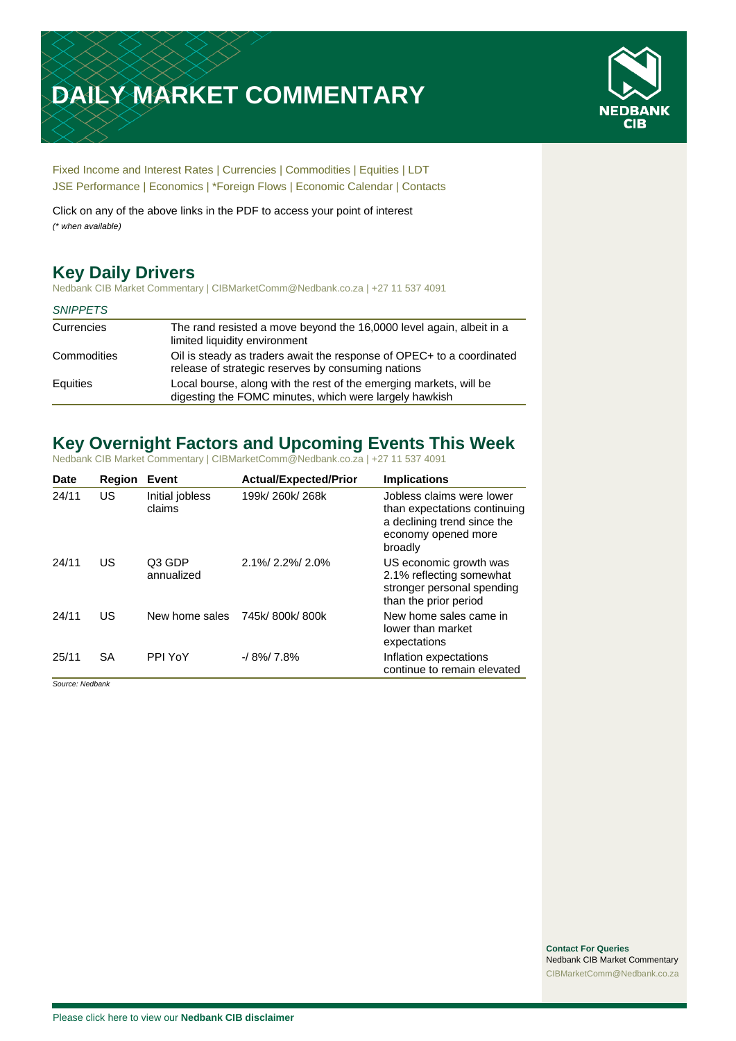# **DAILY MARKET COMMENTARY**



[Fixed Income and Interest Rates](#page-1-0) | [Currencies](#page-2-0) | [Commodities](#page-3-0) [| Equities](#page-4-0) | [LDT](#page-5-0) [JSE Performance](#page-6-0) [| Economics](#page-6-1) | [\\*Foreign Flows](#page-7-0) | [Economic Calendar](#page-7-0) | [Contacts](#page-8-0)

Click on any of the above links in the PDF to access your point of interest *(\* when available)*

## **Key Daily Drivers**

Nedbank CIB Market Commentary | CIBMarketComm@Nedbank.co.za | +27 11 537 4091

#### *SNIPPETS*

| Currencies  | The rand resisted a move beyond the 16,0000 level again, albeit in a<br>limited liquidity environment                        |
|-------------|------------------------------------------------------------------------------------------------------------------------------|
| Commodities | Oil is steady as traders await the response of OPEC+ to a coordinated<br>release of strategic reserves by consuming nations  |
| Equities    | Local bourse, along with the rest of the emerging markets, will be<br>digesting the FOMC minutes, which were largely hawkish |

## **Key Overnight Factors and Upcoming Events This Week**

Nedbank CIB Market Commentary | CIBMarketComm@Nedbank.co.za | +27 11 537 4091

| <b>Date</b> | <b>Region</b> | Event                     | <b>Actual/Expected/Prior</b> | <b>Implications</b>                                                                                                        |
|-------------|---------------|---------------------------|------------------------------|----------------------------------------------------------------------------------------------------------------------------|
| 24/11       | US            | Initial jobless<br>claims | 199k/260k/268k               | Jobless claims were lower<br>than expectations continuing<br>a declining trend since the<br>economy opened more<br>broadly |
| 24/11       | US            | Q3 GDP<br>annualized      | 2.1%/2.2%/2.0%               | US economic growth was<br>2.1% reflecting somewhat<br>stronger personal spending<br>than the prior period                  |
| 24/11       | US            | New home sales            | 745k/800k/800k               | New home sales came in<br>lower than market<br>expectations                                                                |
| 25/11       | SA            | PPI YoY                   | $-18\%$ 7.8%                 | Inflation expectations<br>continue to remain elevated                                                                      |

*Source: Nedbank*

**Contact For Queries** Nedbank CIB Market Commentary [CIBMarketComm@Nedbank.co.za](file:///C:/Users/Paul-Rose/AppData/Roaming/Bluecurve/templates/CIBMarketComm@Nedbank.co.za)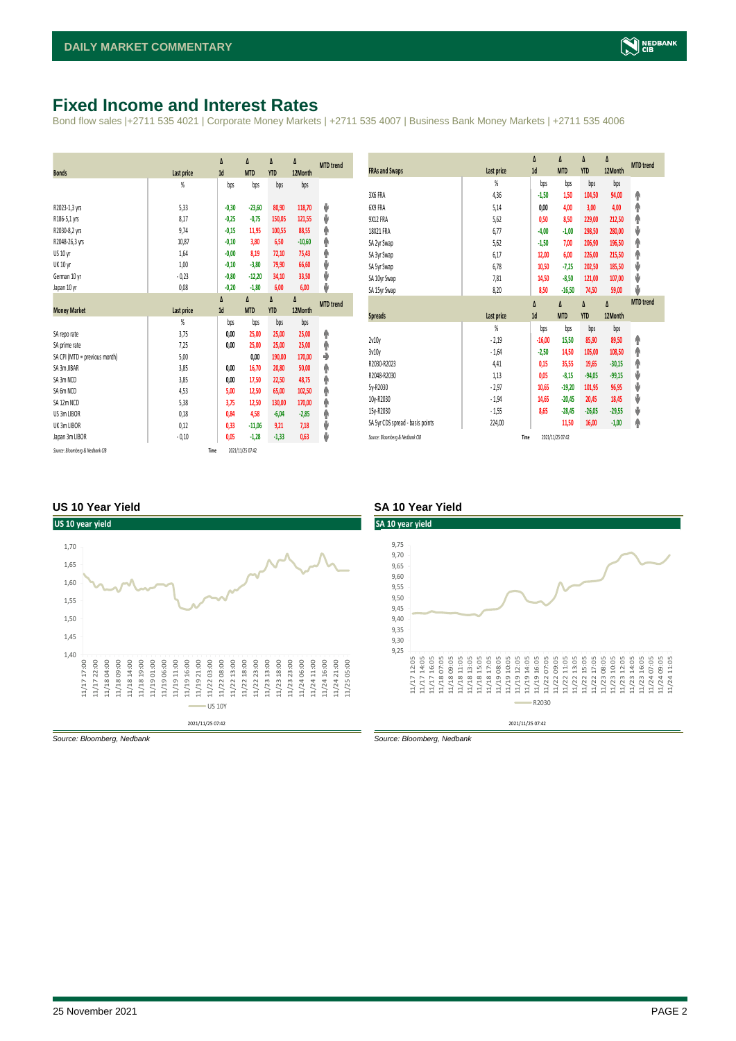## <span id="page-1-0"></span>**Fixed Income and Interest Rates**

Bond flow sales |+2711 535 4021 | Corporate Money Markets | +2711 535 4007 | Business Bank Money Markets | +2711 535 4006

| <b>Bonds</b>                  | Last price     | Δ<br>1d | Δ<br><b>MTD</b> | Δ<br><b>YTD</b> | Δ<br>12Month | <b>MTD</b> trend |
|-------------------------------|----------------|---------|-----------------|-----------------|--------------|------------------|
|                               | $\frac{9}{20}$ | bps     | bps             | bps             | bps          |                  |
| R2023-1,3 yrs                 | 5,33           | $-0,30$ | $-23,60$        | 80,90           | 118,70       | ψ                |
| R186-5,1 yrs                  | 8,17           | $-0,25$ | $-0,75$         | 150,05          | 121,55       | ψ                |
| R2030-8,2 yrs                 | 9,74           | $-0,15$ | 11,95           | 100,55          | 88,55        | ۸                |
| R2048-26,3 yrs                | 10,87          | $-0,10$ | 3,80            | 6,50            | $-10,60$     | φ                |
| US 10 yr                      | 1,64           | $-0,00$ | 8,19            | 72,10           | 75,43        | φ                |
| <b>UK 10 yr</b>               | 1.00           | $-0,10$ | $-3,80$         | 79,90           | 66,60        | ψ                |
| German 10 yr                  | $-0,23$        | $-0,80$ | $-12,20$        | 34,10           | 33,50        | ψ                |
| Japan 10 yr                   | 0,08           | $-0,20$ | $-1,80$         | 6,00            | 6,00         | ψ                |
|                               |                | Δ       | Δ               | Δ               | Δ            | <b>MTD</b> trend |
| <b>Money Market</b>           |                |         |                 |                 |              |                  |
|                               | Last price     | 1d      | <b>MTD</b>      | <b>YTD</b>      | 12Month      |                  |
|                               | $\frac{9}{20}$ | bps     | bps             | bps             | bps          |                  |
| SA reporate                   | 3,75           | 0,00    | 25,00           | 25,00           | 25,00        | ۸                |
| SA prime rate                 | 7,25           | 0,00    | 25,00           | 25,00           | 25,00        | Ϋ                |
| SA CPI (MTD = previous month) | 5,00           |         | 0,00            | 190,00          | 170,00       | ٠                |
| SA 3m JIBAR                   | 3,85           | 0,00    | 16,70           | 20,80           | 50,00        | ۸                |
| SA 3m NCD                     | 3,85           | 0,00    | 17,50           | 22,50           | 48,75        | ٠                |
| SA 6m NCD                     | 4,53           | 5,00    | 12,50           | 65,00           | 102,50       | ۸                |
| SA 12m NCD                    | 5.38           | 3,75    | 12,50           | 130,00          | 170,00       | ۸                |
| US 3m LIBOR                   | 0,18           | 0,84    | 4,58            | $-6,04$         | $-2,85$      | φ                |
| UK 3m LIBOR                   | 0,12           | 0,33    | $-11,06$        | 9,21            | 7,18         | ψ                |
| Japan 3m LIBOR                | $-0,10$        | 0,05    | $-1,28$         | $-1,33$         | 0,63         | ψ                |

|                                  |            | Δ        | Δ          | Δ          | Δ        | <b>MTD</b> trend |
|----------------------------------|------------|----------|------------|------------|----------|------------------|
| <b>FRAs and Swaps</b>            | Last price | 1d       | <b>MTD</b> | <b>YTD</b> | 12Month  |                  |
|                                  | %          | bps      | bps        | bps        | bps      |                  |
| 3X6 FRA                          | 4,36       | $-1,50$  | 1,50       | 104,50     | 94,00    | ۸                |
| 6X9 FRA                          | 5,14       | 0,00     | 4,00       | 3,00       | 4,00     | ♠                |
| 9X12 FRA                         | 5,62       | 0,50     | 8,50       | 229,00     | 212,50   | φ                |
| 18X21 FRA                        | 6,77       | $-4,00$  | $-1,00$    | 298,50     | 280,00   | ψ                |
| SA 2yr Swap                      | 5,62       | $-1,50$  | 7,00       | 206,90     | 196,50   | ♠                |
| SA 3yr Swap                      | 6,17       | 12,00    | 6,00       | 226,00     | 215,50   | ۸                |
| SA 5yr Swap                      | 6,78       | 10,50    | $-7,25$    | 202,50     | 185,50   | ψ                |
| SA 10yr Swap                     | 7,81       | 14,50    | $-8,50$    | 121,00     | 107,00   | ψ                |
| SA 15yr Swap                     | 8,20       | 8,50     | $-16,50$   | 74,50      | 59,00    | J                |
|                                  |            | Δ        | Δ          | Δ          | Δ        | <b>MTD</b> trend |
| <b>Spreads</b>                   |            | 1d       | <b>MTD</b> | <b>YTD</b> | 12Month  |                  |
|                                  | Last price |          |            |            |          |                  |
|                                  | %          | bps      | bps        | bps        | bps      |                  |
| 2v10v                            | $-2,19$    | $-16,00$ | 15,50      | 85,90      | 89,50    | ۸                |
| 3v10v                            | $-1,64$    | $-2,50$  | 14,50      | 105,00     | 108,50   |                  |
| R2030-R2023                      | 4,41       | 0,15     | 35,55      | 19,65      | $-30,15$ | ♠                |
| R2048-R2030                      | 1,13       | 0,05     | $-8,15$    | $-94,05$   | $-99,15$ | ۸                |
| 5y-R2030                         | $-2,97$    | 10,65    | $-19,20$   | 101,95     | 96,95    | ψ                |
| 10y-R2030                        | $-1,94$    | 14,65    | $-20,45$   | 20,45      | 18,45    | ψ                |
| 15y-R2030                        | $-1,55$    | 8,65     | $-28,45$   | $-26,05$   | $-29,55$ | ψ                |
| SA 5yr CDS spread - basis points | 224,00     |          | 11,50      | 16,00      | $-1,00$  | ψ<br>۸           |

#### **US 10 Year Yield SA 10 Year Yield**



*Source: Bloomberg, Nedbank Source: Bloomberg, Nedbank*

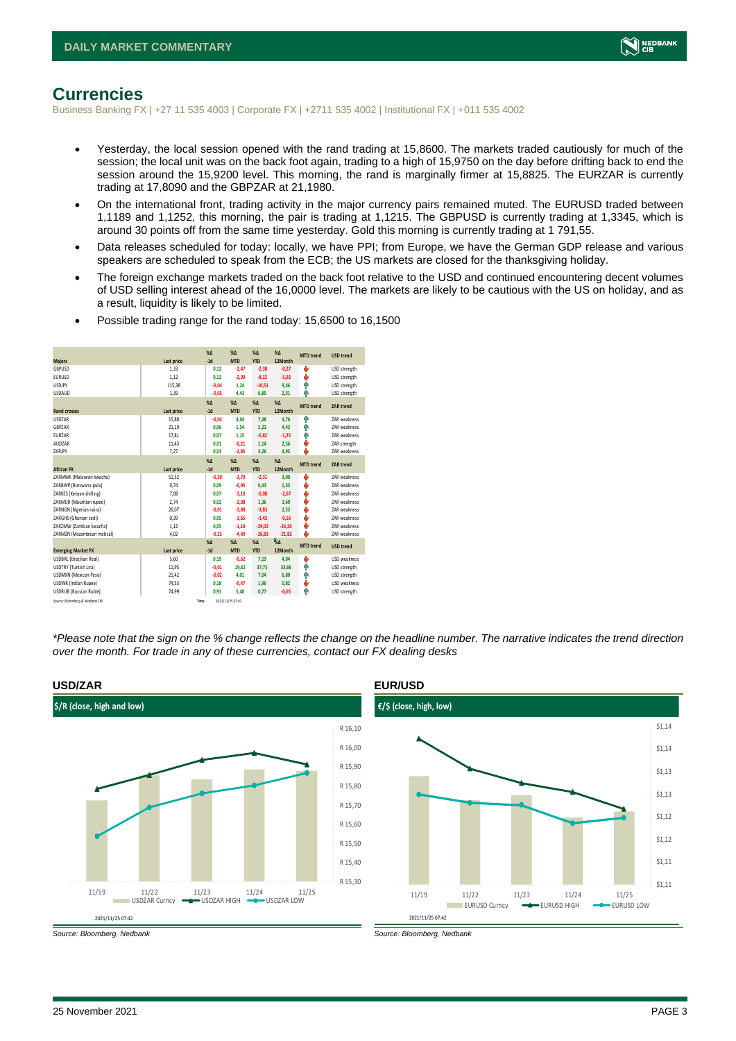

### <span id="page-2-0"></span>**Currencies**

Business Banking FX | +27 11 535 4003 | Corporate FX | +2711 535 4002 | Institutional FX | +011 535 4002

- Yesterday, the local session opened with the rand trading at 15,8600. The markets traded cautiously for much of the session; the local unit was on the back foot again, trading to a high of 15,9750 on the day before drifting back to end the session around the 15,9200 level. This morning, the rand is marginally firmer at 15,8825. The EURZAR is currently trading at 17,8090 and the GBPZAR at 21,1980.
- On the international front, trading activity in the major currency pairs remained muted. The EURUSD traded between 1,1189 and 1,1252, this morning, the pair is trading at 1,1215. The GBPUSD is currently trading at 1,3345, which is around 30 points off from the same time yesterday. Gold this morning is currently trading at 1 791,55.
- Data releases scheduled for today: locally, we have PPI; from Europe, we have the German GDP release and various speakers are scheduled to speak from the ECB; the US markets are closed for the thanksgiving holiday.
- The foreign exchange markets traded on the back foot relative to the USD and continued encountering decent volumes of USD selling interest ahead of the 16,0000 level. The markets are likely to be cautious with the US on holiday, and as a result, liquidity is likely to be limited.

|                                 |            | X <sub>A</sub> | X <sub>A</sub>   | $\%$ $\Lambda$ | $% \Delta$      | <b>MTD</b> trend | <b>USD trend</b>    |
|---------------------------------|------------|----------------|------------------|----------------|-----------------|------------------|---------------------|
| <b>Maiors</b>                   | Last price | $-1d$          | <b>MTD</b>       | <b>YTD</b>     | 12Month         |                  |                     |
| GBPUSD                          | 1.33       | 0,12           | $-2.47$          | $-2,38$        | $-0.27$         | v                | USD strength        |
| <b>EURUSD</b>                   | 1,12       | 0,12           | $-2,99$          | $-8,22$        | $-5,92$         | ÷                | USD strength        |
| <b>USDJPY</b>                   | 115,38     | $-0.04$        | 1.24             | $-10,51$       | 9.46            | ÷                | USD strength        |
| <b>USDAUD</b>                   | 1,39       | $-0,05$        | 4,43             | 6,85           | 2,31            | Φ                | USD strength        |
|                                 |            | X <sub>A</sub> | X <sub>A</sub>   | $% \Delta$     | $% \Delta$      | <b>MTD</b> trend | ZAR trend           |
| <b>Rand crosses</b>             | Last price | $-1d$          | <b>MTD</b>       | <b>YTD</b>     | 12Month         |                  |                     |
| <b>USDZAR</b>                   | 15,88      | $-0,04$        | 4.04             | 7,48           | 4.76            | ۸                | ZAR weakness        |
| GBPZAR                          | 21,19      | 0.06           | 1,54             | 5,21           | 4,43            | ٠                | <b>7AR</b> weakness |
| EURZAR                          | 17,81      | 0.07           | 1.15             | $-0,82$        | $-1,25$         | ٠                | ZAR weakness        |
| AUD7AR                          | 11,43      | 0.01           | $-0,21$          | 1,14           | 2,56            | ψ                | ZAR strength        |
| ZARJPY                          | 7,27       | 0,03           | $-2,85$          | 3,26           | 4,95            | ٤                | ZAR weakness        |
|                                 |            | X <sub>A</sub> | $X\Delta$        | $% \Delta$     | $% \Delta$      |                  |                     |
| <b>African FX</b>               | Last price | $-1d$          | <b>MTD</b>       | <b>YTD</b>     | 12Month         | <b>MTD</b> trend | ZAR trend           |
| ZARMWK (Malawian kwacha)        | 51,32      | $-0,20$        | $-3,79$          | $-2,31$        | 3,00            | U                | <b>7AR</b> weakness |
| ZARBWP (Botswana pula)          | 0.74       | 0.09           | $-0.95$          | 0,43           | 1,33            | ÷                | <b>7AR</b> weakness |
| ZARKES (Kenyan shilling)        | 7,08       | 0,07           | $-3,10$          | $-5,08$        | $-2,67$         | v                | <b>7AR</b> weakness |
| ZARMUR (Mauritian rupee)        | 2.74       | 0.02           | $-2,98$          | 1,36           | 3.69            | v                | <b>7AR</b> weakness |
| ZARNGN (Nigerian naira)         | 26,07      | $-0.01$        | $-3,88$          | $-3,83$        | 2,53            | J                | <b>7AR</b> weakness |
| ZARGHS (Ghanian cedi)           | 0.39       | 0.05           | $-3,65$          | $-3,42$        | $-0,16$         | v                | <b>7AR</b> weakness |
| ZARZMW (Zambian kwacha)         | 1,12       | 0,05           | $-1,18$          | $-29,02$       | $-24,20$        | v                | ZAR weakness        |
| ZARMZN (Mozambican metical)     | 4,02       | $-0,25$        | $-4,49$          | $-26,83$       | $-21,82$        | u                | ZAR weakness        |
|                                 |            | X <sub>A</sub> | X <sub>A</sub>   | $% \Delta$     | $\frac{1}{260}$ |                  |                     |
| <b>Emerging Market FX</b>       | Last price | $-1d$          | <b>MTD</b>       | <b>YTD</b>     | 12Month         | <b>MTD</b> trend | <b>USD trend</b>    |
| <b>USDBRL</b> (Brazilian Real)  | 5,60       | 0,19           | $-0,62$          | 7,19           | 4,04            | ÷                | USD weakness        |
| USDTRY (Turkish Lira)           | 11.95      | $-0.01$        | 19.62            | 37,75          | 33.66           | ٠                | USD strength        |
| USDMXN (Mexican Peso)           | 21,42      | $-0,02$        | 4.01             | 7,04           | 6,80            | ۸                | USD strength        |
| <b>USDINR</b> (Indian Rupee)    | 74,53      | 0,18           | $-0.47$          | 1,96           | 0,82            | U                | <b>USD</b> weakness |
| <b>USDRUB</b> (Russian Ruble)   | 74,99      | 0,91           | 5,40             | 0,77           | $-0,65$         | Φ                | USD strength        |
| Source: Bloomberg & Nedbank CIB |            | Time           | 2021/11/25 07:42 |                |                 |                  |                     |

• Possible trading range for the rand today: 15,6500 to 16,1500

*\*Please note that the sign on the % change reflects the change on the headline number. The narrative indicates the trend direction over the month. For trade in any of these currencies, contact our FX dealing desks*



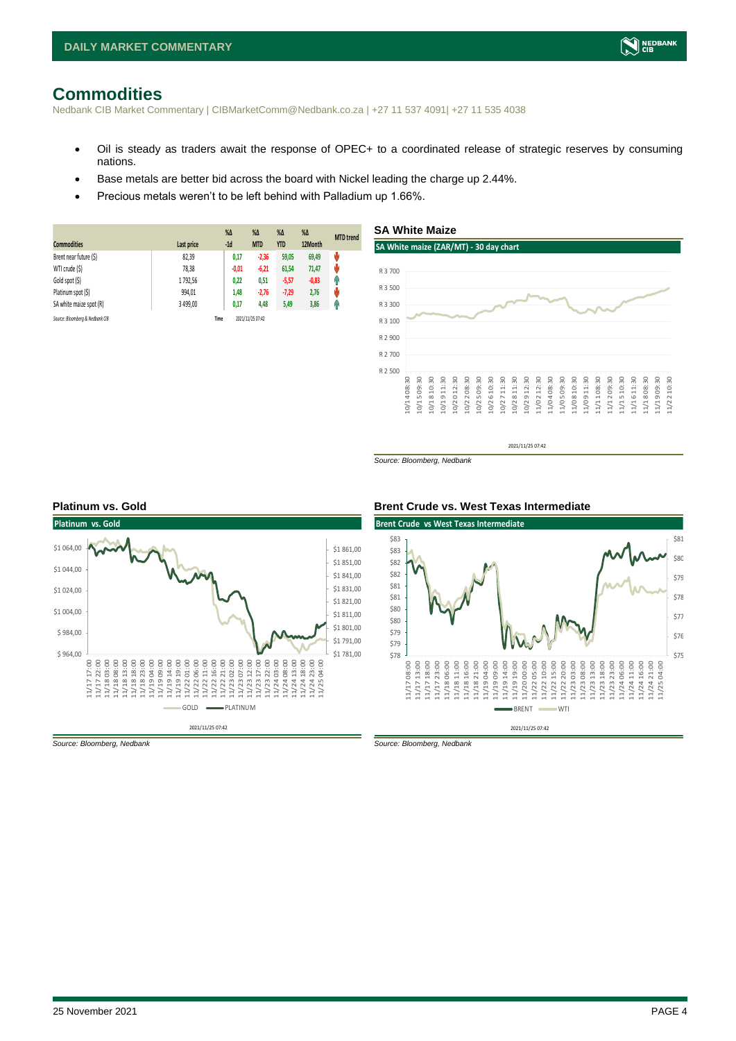## <span id="page-3-0"></span>**Commodities**

Nedbank CIB Market Commentary | CIBMarketComm@Nedbank.co.za | +27 11 537 4091| +27 11 535 4038

• Oil is steady as traders await the response of OPEC+ to a coordinated release of strategic reserves by consuming nations.

10/14 08:30 10/15 09:30 10/18 10:30 10/19 11:30 10/20 12:30 10/22 08:30 10/25 09:30 10/26 10:30 10/27 11:30 10/28 11:30 10/29 12:30 11/02 12:30 11/04 08:30 11/05 09:30 11/08 10:30 11/09 11:30 11/11 08:30 11/12 09:30 11/15 10:30 11/16 11:30 11/18 08:30 11/19 09:30 11/22 10:30

**SA White Maize**

- Base metals are better bid across the board with Nickel leading the charge up 2.44%.
- Precious metals weren't to be left behind with Palladium up 1.66%.

| <b>Commodities</b>              | Last price | $%$ $\Delta$<br>$-1d$ | $\%$ $\Delta$<br><b>MTD</b> | $% \Delta$<br><b>YTD</b> | $\%$ $\Delta$<br>12Month | <b>MTD</b> trend |
|---------------------------------|------------|-----------------------|-----------------------------|--------------------------|--------------------------|------------------|
| Brent near future (\$)          | 82,39      | 0,17                  | $-2,36$                     | 59,05                    | 69,49                    | ψ                |
| WTI crude (\$)                  | 78,38      | $-0.01$               | $-6,21$                     | 61,54                    | 71,47                    | ŵ                |
| Gold spot (\$)                  | 1792,56    | 0,22                  | 0,51                        | $-5,57$                  | $-0,83$                  | Ŵ                |
| Platinum spot (\$)              | 994,01     | 1,48                  | $-2,76$                     | $-7,29$                  | 2,76                     | ψ                |
| SA white maize spot (R)         | 3 499,00   | 0,17                  | 4,48                        | 5,49                     | 3,86                     | Ĥ                |
| Source: Bloomberg & Nedbank CIB |            | Time                  | 2021/11/25 07:42            |                          |                          |                  |

## **SA White maize (ZAR/MT) - 30 day chart** R 3 100 R 3 300 R 3 500 R 3 700



*Source: Bloomberg, Nedbank*



#### **Platinum vs. Gold Brent Crude vs. West Texas Intermediate**



2021/11/25 07:42

*Source: Bloomberg, Nedbank Source: Bloomberg, Nedbank*

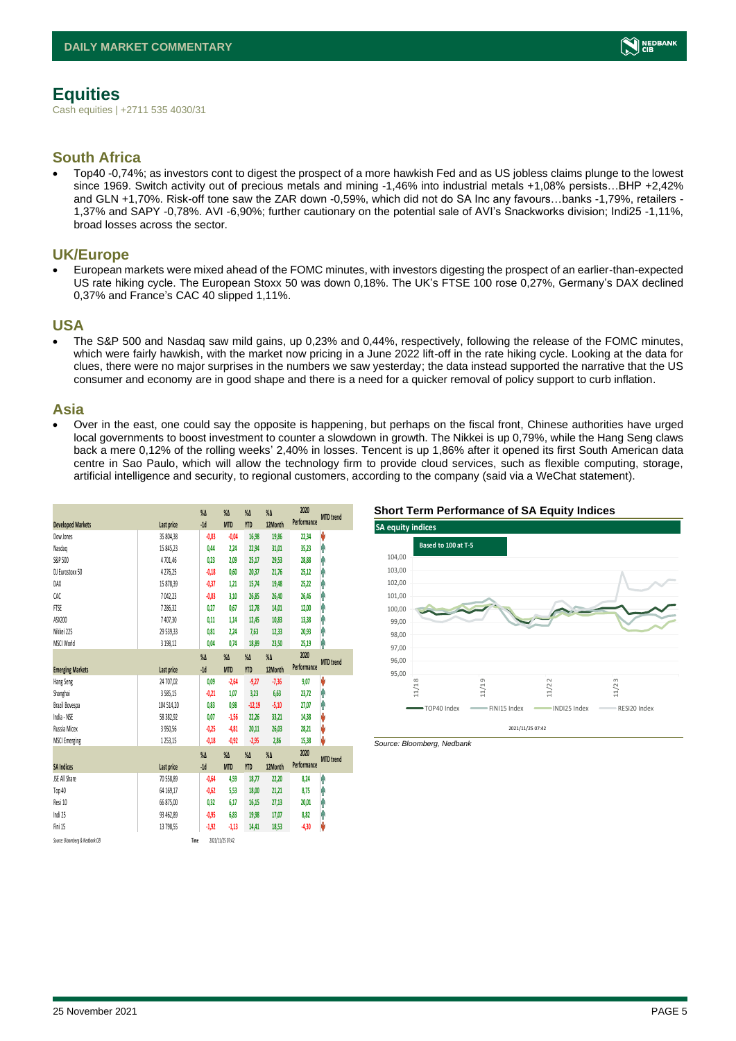<span id="page-4-0"></span>Cash equities | +2711 535 4030/31

### **South Africa**

• Top40 -0,74%; as investors cont to digest the prospect of a more hawkish Fed and as US jobless claims plunge to the lowest since 1969. Switch activity out of precious metals and mining -1,46% into industrial metals +1,08% persists...BHP +2,42% and GLN +1,70%. Risk-off tone saw the ZAR down -0,59%, which did not do SA Inc any favours…banks -1,79%, retailers - 1,37% and SAPY -0,78%. AVI -6,90%; further cautionary on the potential sale of AVI's Snackworks division; Indi25 -1,11%, broad losses across the sector.

#### **UK/Europe**

• European markets were mixed ahead of the FOMC minutes, with investors digesting the prospect of an earlier-than-expected US rate hiking cycle. The European Stoxx 50 was down 0,18%. The UK's FTSE 100 rose 0,27%, Germany's DAX declined 0,37% and France's CAC 40 slipped 1,11%.

#### **USA**

• The S&P 500 and Nasdaq saw mild gains, up 0,23% and 0,44%, respectively, following the release of the FOMC minutes, which were fairly hawkish, with the market now pricing in a June 2022 lift-off in the rate hiking cycle. Looking at the data for clues, there were no major surprises in the numbers we saw yesterday; the data instead supported the narrative that the US consumer and economy are in good shape and there is a need for a quicker removal of policy support to curb inflation.

#### **Asia**

• Over in the east, one could say the opposite is happening, but perhaps on the fiscal front, Chinese authorities have urged local governments to boost investment to counter a slowdown in growth. The Nikkei is up 0,79%, while the Hang Seng claws back a mere 0,12% of the rolling weeks' 2,40% in losses. Tencent is up 1,86% after it opened its first South American data centre in Sao Paulo, which will allow the technology firm to provide cloud services, such as flexible computing, storage, artificial intelligence and security, to regional customers, according to the company (said via a WeChat statement).

| <b>Developed Markets</b>        | Last price | $\%$ $\Delta$<br>$-1d$ | $\%$ $\Delta$<br><b>MTD</b> | $\%$ $\Delta$<br><b>YTD</b> | $\%$ $\Delta$<br>12Month | 2020<br>Performance | <b>MTD</b> trend |
|---------------------------------|------------|------------------------|-----------------------------|-----------------------------|--------------------------|---------------------|------------------|
| Dow Jones                       | 35 804.38  | $-0.03$                | $-0.04$                     | 16,98                       | 19.86                    | 22,34               | V                |
| Nasdao                          | 15 845,23  | 0,44                   | 2,24                        | 22,94                       | 31,01                    | 35,23               | ٨                |
| S&P 500                         | 4701.46    | 0,23                   | 2.09                        | 25,17                       | 29,53                    | 28,88               | A                |
| DJ Eurostoxx 50                 | 4276,25    | $-0,18$                | 0.60                        | 20,37                       | 21,76                    | 25,12               | A                |
| DAX                             | 15 878,39  | $-0,37$                | 1.21                        | 15,74                       | 19,48                    | 25,22               | Ą                |
| CAC                             | 7042.23    | $-0.03$                | 3.10                        | 26,85                       | 26.40                    | 26.46               | Α                |
| FTSE                            | 7286,32    | 0,27                   | 0,67                        | 12,78                       | 14,01                    | 12,00               | ⋒                |
| ASX200                          | 7407.30    | 0,11                   | 1.14                        | 12,45                       | 10,83                    | 13,38               | A                |
| Nikkei 225                      | 29 539,33  | 0,81                   | 2,24                        | 7,63                        | 12,33                    | 20,93               | ٨                |
| MSCI World                      | 3 198,12   | 0,04                   | 0,74                        | 18,89                       | 23,50                    | 25,19               | ٨                |
|                                 |            | $\%$ $\Delta$          | $\%$ $\Delta$               | $\%$ $\Delta$               | $\%$ $\Delta$            | 2020                |                  |
| <b>Emerging Markets</b>         | Last price | $-1d$                  | <b>MTD</b>                  | <b>YTD</b>                  | 12Month                  | Performance         | <b>MTD</b> trend |
| Hang Seng                       | 24 707,02  | 0,09                   | $-2,64$                     | $-9,27$                     | $-7,36$                  | 9,07                | V                |
| Shanghai                        | 3585,15    | $-0,21$                | 1,07                        | 3,23                        | 6,63                     | 23,72               | Α                |
| Brazil Bovespa                  | 104 514,20 | 0,83                   | 0,98                        | $-12,19$                    | $-5,10$                  | 27,07               | ٨                |
| India - NSE                     | 58 382.92  | 0.07                   | $-1.56$                     | 22,26                       | 33,21                    | 14,38               | V                |
| Russia Micex                    | 3950,56    | $-0.25$                | $-4,81$                     | 20,11                       | 26,03                    | 28,21               | V                |
| <b>MSCI Emerging</b>            | 1253,15    | $-0,18$                | $-0,92$                     | $-2,95$                     | 2,86                     | 15,38               | V                |
|                                 |            | $\sqrt{2}$             | $\sqrt{\Lambda}$            | $X\Lambda$                  | $\%$ $\Delta$            | 2020                | <b>MTD</b> trend |
| <b>SA Indices</b>               | Last price | $-1d$                  | <b>MTD</b>                  | <b>YTD</b>                  | 12Month                  | Performance         |                  |
| JSE All Share                   | 70 558.89  | $-0,64$                | 4,59                        | 18,77                       | 22,20                    | 8,24                | ⋔                |
| Top 40                          | 64 169.17  | $-0.62$                | 5.53                        | 18,00                       | 21.21                    | 8.75                | Ą                |
| Resi 10                         | 66 875,00  | 0.32                   | 6.17                        | 16,15                       | 27,13                    | 20.01               | A                |
| Indi 25                         | 93 462.89  | $-0.95$                | 6.83                        | 19,98                       | 17.07                    | 8.82                | ⋔                |
| Fini 15                         | 13 798.55  | $-1,92$                | $-1.13$                     | 14.41                       | 18.53                    | $-4,30$             | V                |
| Source: Bloomberg & Nedbonk CIB |            | Time                   | 2021/11/25 07:42            |                             |                          |                     |                  |

#### **Short Term Performance of SA Equity Indices**



*Source: Bloomberg, Nedbank*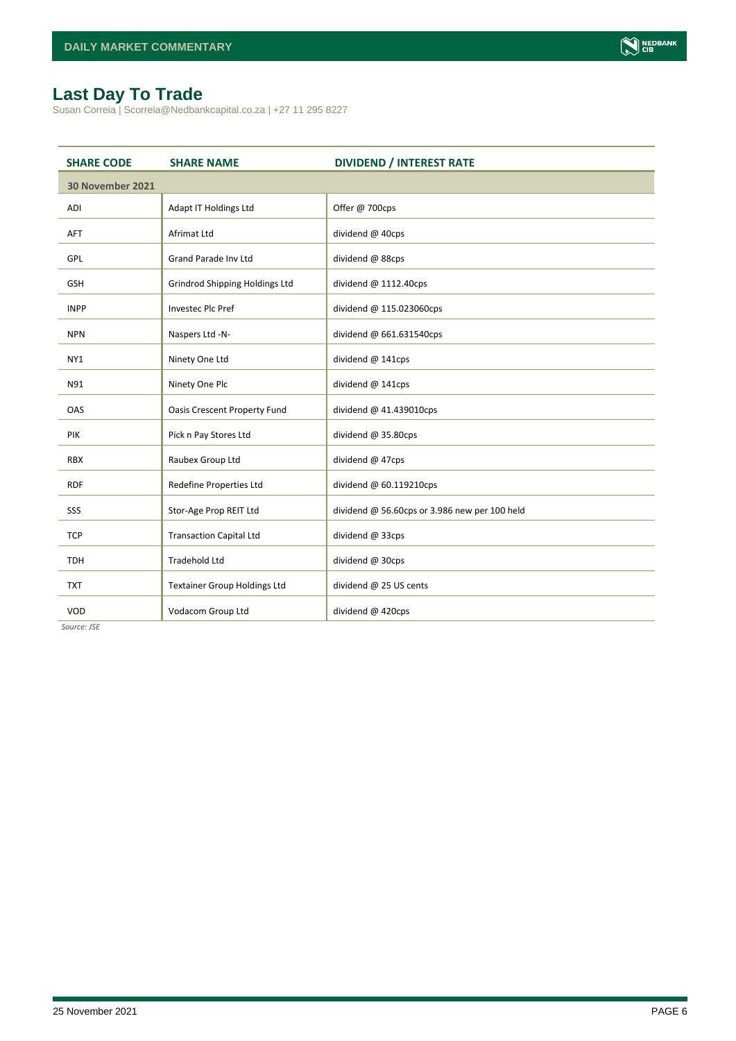## <span id="page-5-0"></span>**Last Day To Trade**

Susan Correia | Scorreia@Nedbankcapital.co.za | +27 11 295 8227

| <b>SHARE CODE</b> | <b>SHARE NAME</b>                     | <b>DIVIDEND / INTEREST RATE</b>               |
|-------------------|---------------------------------------|-----------------------------------------------|
| 30 November 2021  |                                       |                                               |
| ADI               | Adapt IT Holdings Ltd                 | Offer @ 700cps                                |
| <b>AFT</b>        | <b>Afrimat Ltd</b>                    | dividend @ 40cps                              |
| <b>GPL</b>        | <b>Grand Parade Inv Ltd</b>           | dividend @ 88cps                              |
| <b>GSH</b>        | <b>Grindrod Shipping Holdings Ltd</b> | dividend @ 1112.40cps                         |
| <b>INPP</b>       | <b>Investec Plc Pref</b>              | dividend @ 115.023060cps                      |
| <b>NPN</b>        | Naspers Ltd -N-                       | dividend @ 661.631540cps                      |
| NY1               | Ninety One Ltd                        | dividend @ 141cps                             |
| N91               | Ninety One Plc                        | dividend @ 141cps                             |
| <b>OAS</b>        | <b>Oasis Crescent Property Fund</b>   | dividend @ 41.439010cps                       |
| PIK               | Pick n Pay Stores Ltd                 | dividend @ 35.80cps                           |
| <b>RBX</b>        | Raubex Group Ltd                      | dividend @ 47cps                              |
| <b>RDF</b>        | Redefine Properties Ltd               | dividend @ 60.119210cps                       |
| SSS               | Stor-Age Prop REIT Ltd                | dividend @ 56.60cps or 3.986 new per 100 held |
| <b>TCP</b>        | <b>Transaction Capital Ltd</b>        | dividend @ 33cps                              |
| <b>TDH</b>        | <b>Tradehold Ltd</b>                  | dividend @ 30cps                              |
| <b>TXT</b>        | <b>Textainer Group Holdings Ltd</b>   | dividend @ 25 US cents                        |
| VOD               | Vodacom Group Ltd                     | dividend @ 420cps                             |

*Source: JSE*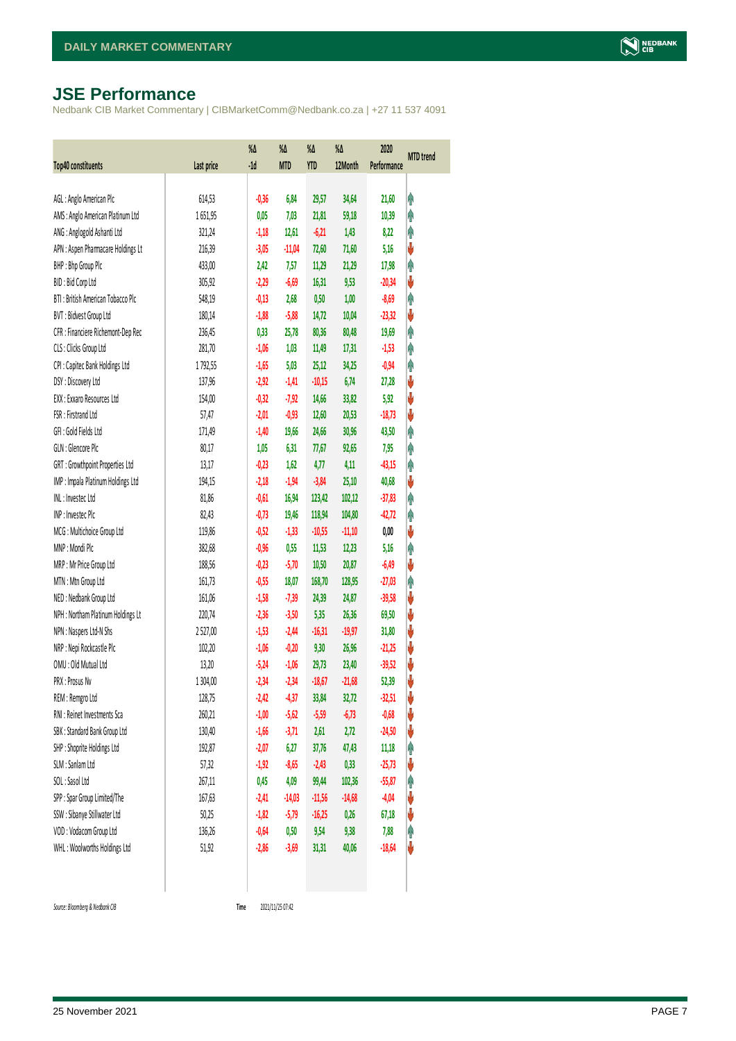## <span id="page-6-0"></span>**JSE Performance**

Nedbank CIB Market Commentary | CIBMarketComm@Nedbank.co.za | +27 11 537 4091

| Top40 constituents                 | Last price | %Δ<br>$-1d$ | $\%$<br><b>MTD</b> | %Δ<br><b>YTD</b> | %Δ<br>12Month | 2020<br>Performance | <b>MTD</b> trend |
|------------------------------------|------------|-------------|--------------------|------------------|---------------|---------------------|------------------|
|                                    |            |             |                    |                  |               |                     |                  |
| AGL: Anglo American Plc            | 614,53     | $-0,36$     | 6,84               | 29,57            | 34,64         | 21,60               | φ                |
| AMS: Anglo American Platinum Ltd   | 1651,95    | 0,05        | 7,03               | 21,81            | 59,18         | 10,39               | Ą                |
| ANG: Anglogold Ashanti Ltd         | 321,24     | $-1,18$     | 12,61              | $-6,21$          | 1,43          | 8,22                | φ                |
| APN : Aspen Pharmacare Holdings Lt | 216,39     | $-3,05$     | $-11,04$           | 72,60            | 71,60         | 5,16                | ψ                |
| BHP: Bhp Group Plc                 | 433,00     | 2,42        | 7,57               | 11,29            | 21,29         | 17,98               | Ą                |
| BID: Bid Corp Ltd                  | 305,92     | $-2,29$     | $-6,69$            | 16,31            | 9,53          | $-20,34$            | ψ                |
| BTI: British American Tobacco Plc  | 548,19     | $-0,13$     | 2,68               | 0,50             | 1,00          | $-8,69$             | φ                |
| BVT: Bidvest Group Ltd             | 180,14     | $-1,88$     | $-5,88$            | 14,72            | 10,04         | $-23,32$            | ψ                |
| CFR : Financiere Richemont-Dep Rec | 236,45     | 0,33        | 25,78              | 80,36            | 80,48         | 19,69               | φ                |
| CLS : Clicks Group Ltd             | 281,70     | $-1,06$     | 1,03               | 11,49            | 17,31         | $-1,53$             | φ                |
| CPI : Capitec Bank Holdings Ltd    | 1792,55    | $-1,65$     | 5,03               | 25,12            | 34,25         | $-0,94$             | φ                |
| DSY: Discovery Ltd                 | 137,96     | $-2,92$     | $-1,41$            | $-10,15$         | 6,74          | 27,28               | V                |
| EXX : Exxaro Resources Ltd         | 154,00     | $-0,32$     | $-7,92$            | 14,66            | 33,82         | 5,92                | ψ                |
| FSR: Firstrand Ltd                 | 57,47      | $-2,01$     | $-0,93$            | 12,60            | 20,53         | $-18,73$            | ψ                |
| GFI: Gold Fields Ltd               | 171,49     | $-1,40$     | 19,66              | 24,66            | 30,96         | 43,50               | φ                |
| GLN : Glencore Plc                 | 80,17      | 1,05        | 6,31               | 77,67            | 92,65         | 7,95                | φ                |
| GRT : Growthpoint Properties Ltd   | 13,17      | $-0,23$     | 1,62               | 4,77             | 4,11          | $-43,15$            | φ                |
| IMP : Impala Platinum Holdings Ltd | 194,15     | $-2,18$     | $-1,94$            | $-3,84$          | 25,10         | 40,68               | ψ                |
| INL: Investec Ltd                  | 81,86      | $-0,61$     | 16,94              | 123,42           | 102,12        | $-37,83$            | φ                |
| INP: Invested Plc                  | 82,43      | $-0,73$     | 19,46              | 118,94           | 104,80        | $-42,72$            | φ                |
| MCG: Multichoice Group Ltd         | 119,86     | $-0,52$     | $-1,33$            | $-10,55$         | $-11,10$      | 0,00                | ψ                |
| MNP: Mondi Plc                     | 382,68     | $-0,96$     | 0,55               | 11,53            | 12,23         | 5,16                | φ                |
| MRP : Mr Price Group Ltd           | 188,56     | $-0,23$     | $-5,70$            | 10,50            | 20,87         | $-6,49$             | ψ                |
| MTN: Mtn Group Ltd                 | 161,73     | $-0,55$     | 18,07              | 168,70           | 128,95        | $-27,03$            | φ                |
| NED : Nedbank Group Ltd            | 161,06     | $-1,58$     | $-7,39$            | 24,39            | 24,87         | $-39,58$            | V                |
| NPH : Northam Platinum Holdings Lt | 220,74     | $-2,36$     | $-3,50$            | 5,35             | 26,36         | 69,50               | V                |
| NPN : Naspers Ltd-N Shs            | 2527,00    | $-1,53$     | $-2,44$            | $-16,31$         | $-19,97$      | 31,80               | ψ                |
| NRP : Nepi Rockcastle Plc          | 102,20     | $-1,06$     | $-0,20$            | 9,30             | 26,96         | $-21,25$            | V                |
| OMU: Old Mutual Ltd                | 13,20      | $-5,24$     | $-1,06$            | 29,73            | 23,40         | $-39,52$            | ψ                |
| PRX: Prosus Nv                     | 1 304,00   | $-2,34$     | $-2,34$            | $-18,67$         | $-21,68$      | 52,39               | V                |
| REM : Remgro Ltd                   | 128,75     | $-2,42$     | $-4,37$            | 33,84            | 32,72         | $-32,51$            | V                |
| RNI : Reinet Investments Sca       | 260,21     | $-1,00$     | $-5,62$            | $-5,59$          | $-6,73$       | $-0,68$             | ♦                |
| SBK: Standard Bank Group Ltd       | 130,40     | $-1,66$     | $-3,71$            | 2,61             | 2,72          | $-24,50$            | ψ                |
| SHP: Shoprite Holdings Ltd         | 192,87     | $-2,07$     | 6,27               | 37,76            | 47,43         | 11,18               | φ                |
| SLM : Sanlam Ltd                   | 57,32      | $-1,92$     | $-8,65$            | $-2,43$          | 0,33          | $-25,73$            | ψ                |
| SOL: Sasol Ltd                     | 267,11     | 0,45        | 4,09               | 99,44            | 102,36        | $-55,87$            | Ĥ                |
| SPP: Spar Group Limited/The        | 167,63     | $-2,41$     | $-14,03$           | $-11,56$         | $-14,68$      | $-4,04$             | V                |
| SSW : Sibanye Stillwater Ltd       | 50,25      | $-1,82$     | $-5,79$            | $-16,25$         | 0,26          | 67,18               | ψ                |
| VOD: Vodacom Group Ltd             | 136,26     | $-0,64$     | 0,50               | 9,54             | 9,38          | 7,88                | φ                |
| WHL: Woolworths Holdings Ltd       | 51,92      | $-2,86$     | $-3,69$            | 31,31            | 40,06         | $-18,64$            | U                |
|                                    |            |             |                    |                  |               |                     |                  |

 $Source: Bloomberg & Nedbank *CB*$ 

<span id="page-6-1"></span>Time 2021/11/25 07:42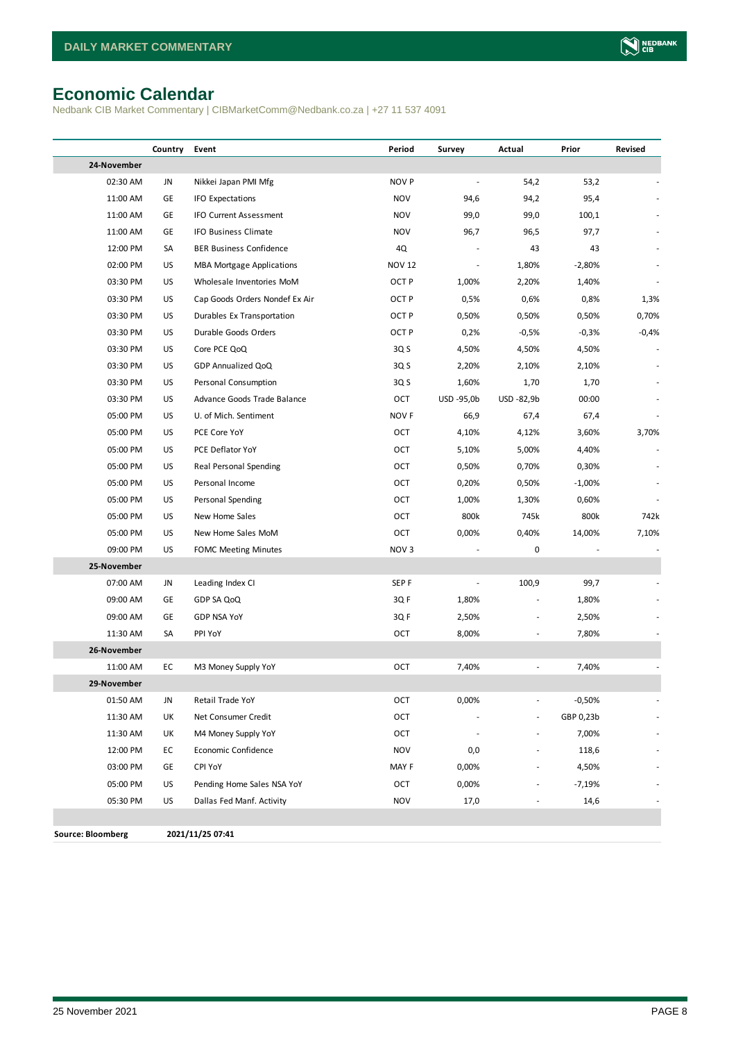## <span id="page-7-0"></span>**Economic Calendar**

Nedbank CIB Market Commentary | CIBMarketComm@Nedbank.co.za | +27 11 537 4091

|                          | Country | Event                            | Period           | Survey     | Actual         | Prior     | Revised |
|--------------------------|---------|----------------------------------|------------------|------------|----------------|-----------|---------|
| 24-November              |         |                                  |                  |            |                |           |         |
| 02:30 AM                 | JN      | Nikkei Japan PMI Mfg             | NOV <sub>P</sub> |            | 54,2           | 53,2      |         |
| 11:00 AM                 | GE      | <b>IFO Expectations</b>          | <b>NOV</b>       | 94,6       | 94,2           | 95,4      |         |
| 11:00 AM                 | GE      | <b>IFO Current Assessment</b>    | <b>NOV</b>       | 99,0       | 99,0           | 100,1     |         |
| 11:00 AM                 | GE      | IFO Business Climate             | <b>NOV</b>       | 96,7       | 96,5           | 97,7      |         |
| 12:00 PM                 | SA      | <b>BER Business Confidence</b>   | 4Q               |            | 43             | 43        |         |
| 02:00 PM                 | US      | <b>MBA Mortgage Applications</b> | <b>NOV 12</b>    |            | 1,80%          | $-2,80%$  |         |
| 03:30 PM                 | US      | Wholesale Inventories MoM        | OCT <sub>P</sub> | 1,00%      | 2,20%          | 1,40%     |         |
| 03:30 PM                 | US      | Cap Goods Orders Nondef Ex Air   | OCT <sub>P</sub> | 0,5%       | 0,6%           | 0,8%      | 1,3%    |
| 03:30 PM                 | US      | Durables Ex Transportation       | OCT <sub>P</sub> | 0,50%      | 0,50%          | 0,50%     | 0,70%   |
| 03:30 PM                 | US      | Durable Goods Orders             | OCT <sub>P</sub> | 0,2%       | $-0,5%$        | $-0,3%$   | $-0,4%$ |
| 03:30 PM                 | US      | Core PCE QoQ                     | 3Q S             | 4,50%      | 4,50%          | 4,50%     |         |
| 03:30 PM                 | US      | GDP Annualized QoQ               | 3Q S             | 2,20%      | 2,10%          | 2,10%     |         |
| 03:30 PM                 | US      | Personal Consumption             | 3Q S             | 1,60%      | 1,70           | 1,70      |         |
| 03:30 PM                 | US      | Advance Goods Trade Balance      | OCT              | USD -95,0b | USD -82,9b     | 00:00     |         |
| 05:00 PM                 | US      | U. of Mich. Sentiment            | NOV F            | 66,9       | 67,4           | 67,4      |         |
| 05:00 PM                 | US      | PCE Core YoY                     | OCT              | 4,10%      | 4,12%          | 3,60%     | 3,70%   |
| 05:00 PM                 | US      | PCE Deflator YoY                 | OCT              | 5,10%      | 5,00%          | 4,40%     |         |
| 05:00 PM                 | US      | Real Personal Spending           | OCT              | 0,50%      | 0,70%          | 0,30%     |         |
| 05:00 PM                 | US      | Personal Income                  | OCT              | 0,20%      | 0,50%          | $-1,00%$  |         |
| 05:00 PM                 | US      | Personal Spending                | OCT              | 1,00%      | 1,30%          | 0,60%     |         |
| 05:00 PM                 | US      | New Home Sales                   | OCT              | 800k       | 745k           | 800k      | 742k    |
| 05:00 PM                 | US      | New Home Sales MoM               | OCT              | 0,00%      | 0,40%          | 14,00%    | 7,10%   |
| 09:00 PM                 | US      | <b>FOMC Meeting Minutes</b>      | NOV <sub>3</sub> |            | 0              |           |         |
| 25-November              |         |                                  |                  |            |                |           |         |
| 07:00 AM                 | JN      | Leading Index CI                 | SEP <sub>F</sub> |            | 100,9          | 99,7      |         |
| 09:00 AM                 | GE      | GDP SA QoQ                       | 3QF              | 1,80%      |                | 1,80%     |         |
| 09:00 AM                 | GE      | <b>GDP NSA YoY</b>               | 3QF              | 2,50%      | $\overline{a}$ | 2,50%     |         |
| 11:30 AM                 | SA      | PPI YoY                          | OCT              | 8,00%      | ÷,             | 7,80%     |         |
| 26-November              |         |                                  |                  |            |                |           |         |
| 11:00 AM                 | EC      | M3 Money Supply YoY              | OCT              | 7,40%      | ÷,             | 7,40%     |         |
| 29-November              |         |                                  |                  |            |                |           |         |
| 01:50 AM                 | JN      | Retail Trade YoY                 | OCT              | 0,00%      | ٠              | $-0,50%$  |         |
| 11:30 AM                 | UK      | Net Consumer Credit              | OCT              |            |                | GBP 0,23b |         |
| 11:30 AM                 | UK      | M4 Money Supply YoY              | OCT              |            | ٠              | 7,00%     |         |
| 12:00 PM                 | EC      | Economic Confidence              | <b>NOV</b>       | 0,0        |                | 118,6     |         |
| 03:00 PM                 | GE      | CPI YoY                          | MAY F            | 0,00%      |                | 4,50%     |         |
| 05:00 PM                 | US      | Pending Home Sales NSA YoY       | OCT              | 0,00%      |                | $-7,19%$  |         |
| 05:30 PM                 | US      | Dallas Fed Manf. Activity        | <b>NOV</b>       | 17,0       |                | 14,6      |         |
|                          |         |                                  |                  |            |                |           |         |
| <b>Source: Bloomberg</b> |         | 2021/11/25 07:41                 |                  |            |                |           |         |